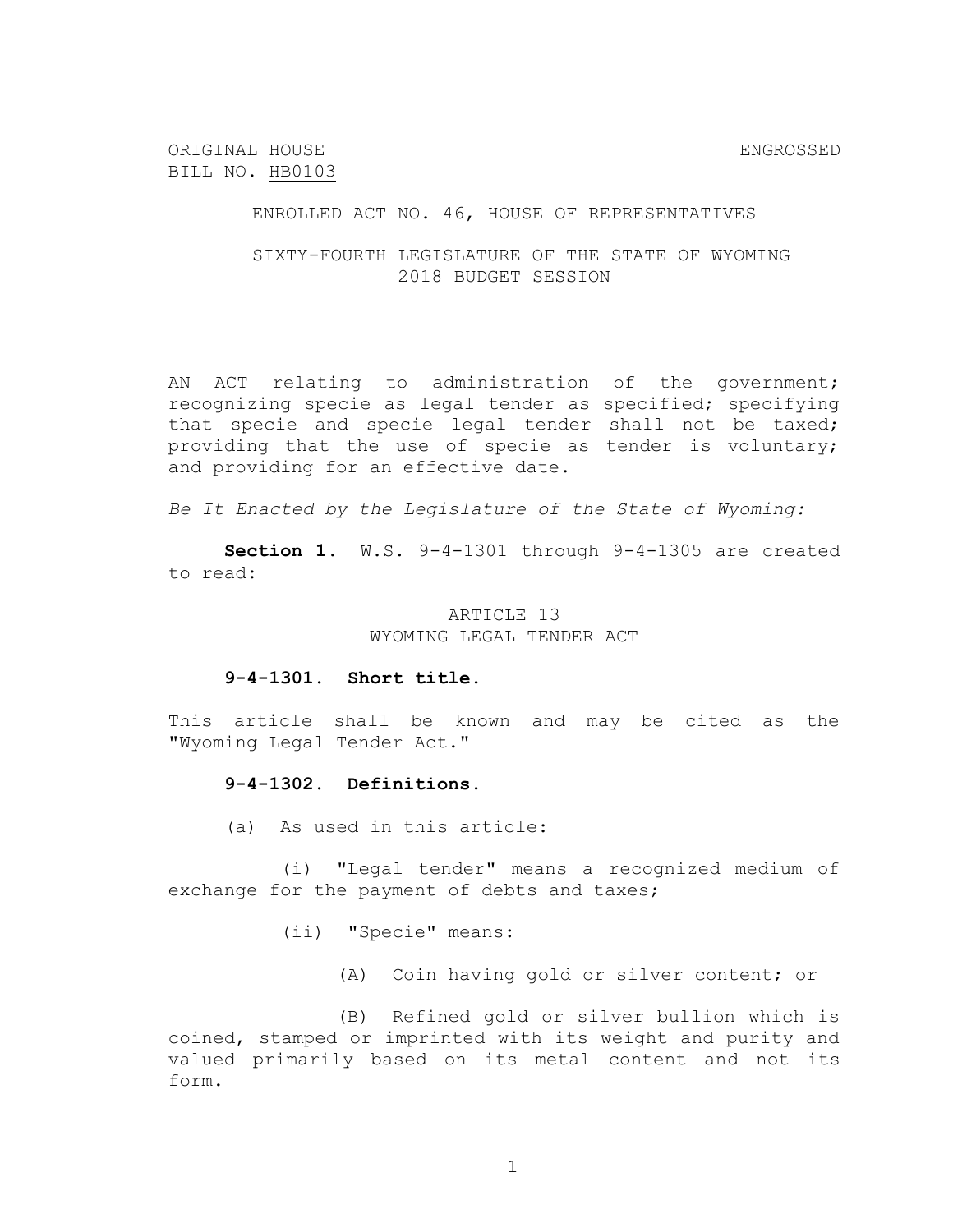ORIGINAL HOUSE ENGROSSED BILL NO. HB0103

ENROLLED ACT NO. 46, HOUSE OF REPRESENTATIVES

SIXTY-FOURTH LEGISLATURE OF THE STATE OF WYOMING 2018 BUDGET SESSION

AN ACT relating to administration of the government; recognizing specie as legal tender as specified; specifying that specie and specie legal tender shall not be taxed; providing that the use of specie as tender is voluntary; and providing for an effective date.

*Be It Enacted by the Legislature of the State of Wyoming:*

**Section 1.** W.S. 9-4-1301 through 9-4-1305 are created to read:

## ARTICLE 13 WYOMING LEGAL TENDER ACT

#### **9-4-1301. Short title.**

This article shall be known and may be cited as the "Wyoming Legal Tender Act."

### **9-4-1302. Definitions.**

(a) As used in this article:

(i) "Legal tender" means a recognized medium of exchange for the payment of debts and taxes;

(ii) "Specie" means:

(A) Coin having gold or silver content; or

(B) Refined gold or silver bullion which is coined, stamped or imprinted with its weight and purity and valued primarily based on its metal content and not its form.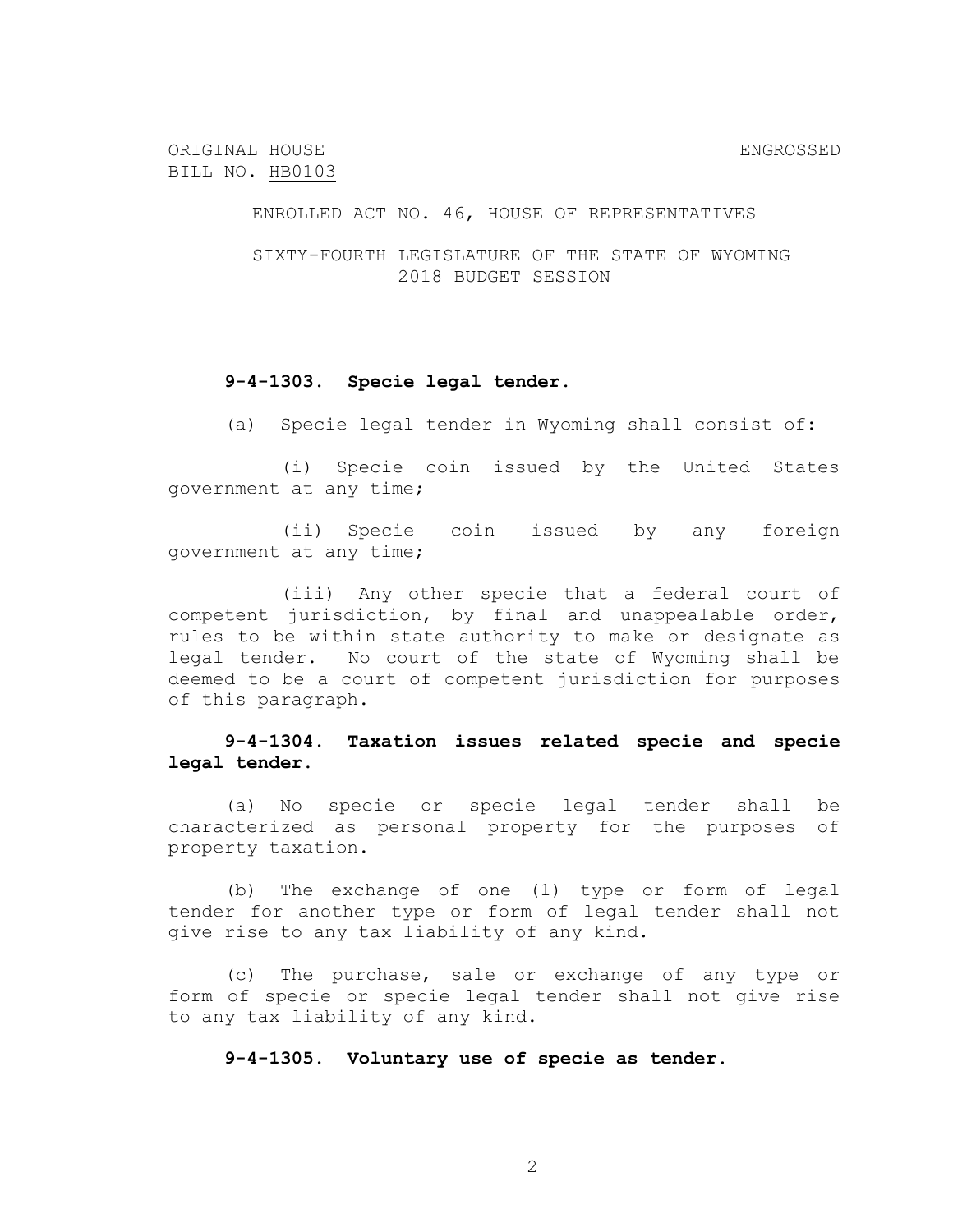ORIGINAL HOUSE ENGROSSED BILL NO. HB0103

ENROLLED ACT NO. 46, HOUSE OF REPRESENTATIVES

SIXTY-FOURTH LEGISLATURE OF THE STATE OF WYOMING 2018 BUDGET SESSION

### **9-4-1303. Specie legal tender.**

(a) Specie legal tender in Wyoming shall consist of:

(i) Specie coin issued by the United States government at any time;

(ii) Specie coin issued by any foreign government at any time;

(iii) Any other specie that a federal court of competent jurisdiction, by final and unappealable order, rules to be within state authority to make or designate as legal tender. No court of the state of Wyoming shall be deemed to be a court of competent jurisdiction for purposes of this paragraph.

# **9-4-1304. Taxation issues related specie and specie legal tender.**

(a) No specie or specie legal tender shall be characterized as personal property for the purposes of property taxation.

(b) The exchange of one (1) type or form of legal tender for another type or form of legal tender shall not give rise to any tax liability of any kind.

(c) The purchase, sale or exchange of any type or form of specie or specie legal tender shall not give rise to any tax liability of any kind.

**9-4-1305. Voluntary use of specie as tender.**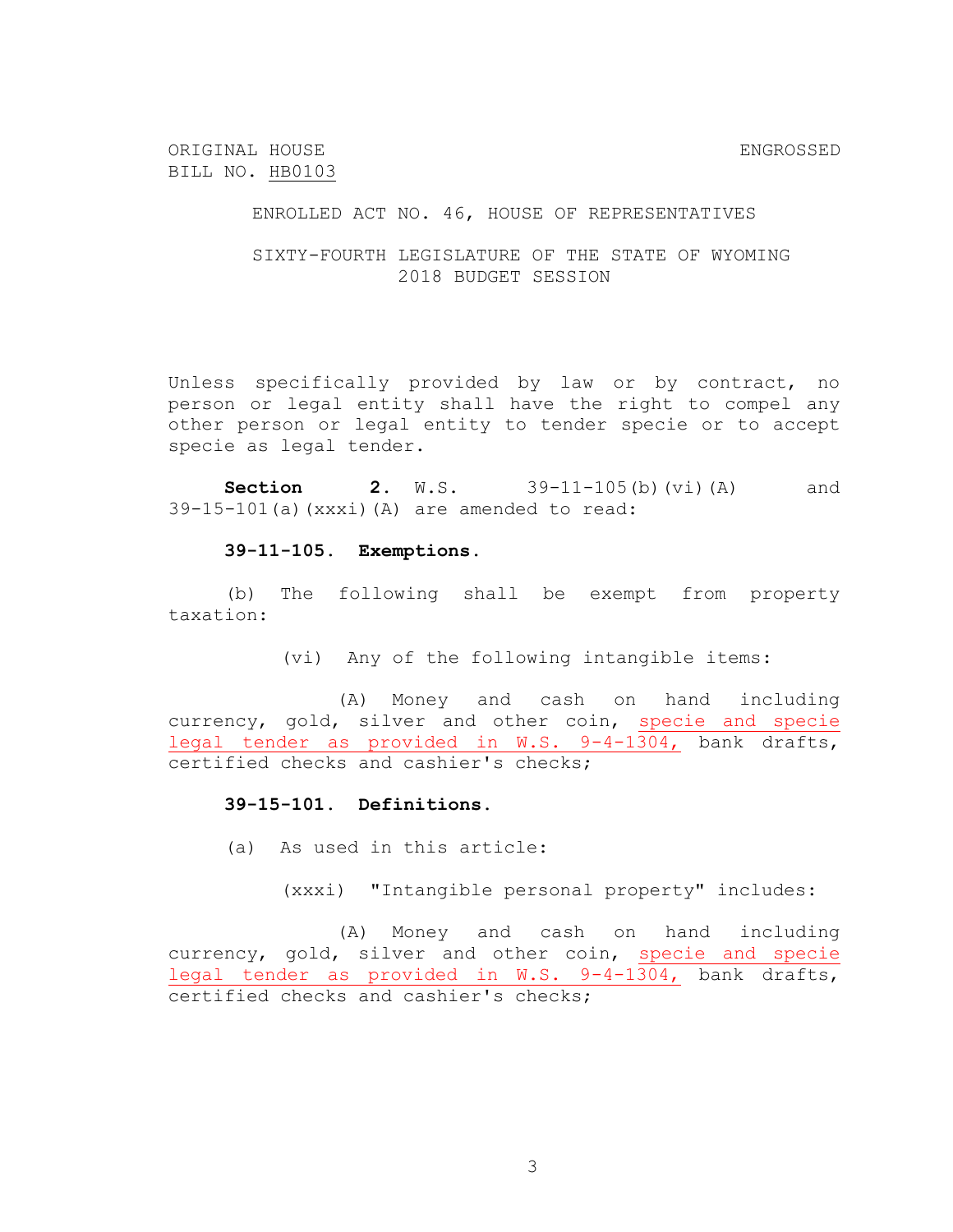ORIGINAL HOUSE ENGROSSED BILL NO. HB0103

ENROLLED ACT NO. 46, HOUSE OF REPRESENTATIVES

SIXTY-FOURTH LEGISLATURE OF THE STATE OF WYOMING 2018 BUDGET SESSION

Unless specifically provided by law or by contract, no person or legal entity shall have the right to compel any other person or legal entity to tender specie or to accept specie as legal tender.

**Section 2.** W.S. 39-11-105(b)(vi)(A) and 39-15-101(a)(xxxi)(A) are amended to read:

#### **39-11-105. Exemptions.**

(b) The following shall be exempt from property taxation:

(vi) Any of the following intangible items:

(A) Money and cash on hand including currency, gold, silver and other coin, specie and specie legal tender as provided in W.S. 9-4-1304, bank drafts, certified checks and cashier's checks;

# **39-15-101. Definitions.**

(a) As used in this article:

(xxxi) "Intangible personal property" includes:

(A) Money and cash on hand including currency, gold, silver and other coin, specie and specie legal tender as provided in W.S. 9-4-1304, bank drafts, certified checks and cashier's checks;